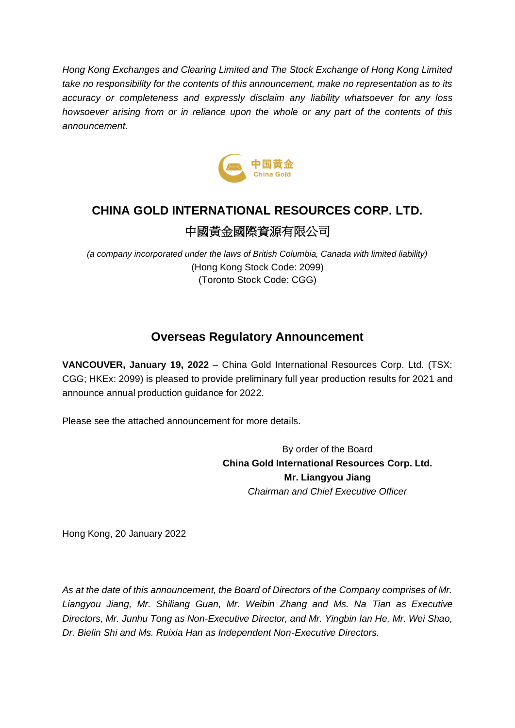*Hong Kong Exchanges and Clearing Limited and The Stock Exchange of Hong Kong Limited take no responsibility for the contents of this announcement, make no representation as to its accuracy or completeness and expressly disclaim any liability whatsoever for any loss howsoever arising from or in reliance upon the whole or any part of the contents of this announcement.*



# **CHINA GOLD INTERNATIONAL RESOURCES CORP. LTD.** 中國黃金國際資源有限公司

*(a company incorporated under the laws of British Columbia, Canada with limited liability)* (Hong Kong Stock Code: 2099) (Toronto Stock Code: CGG)

### **Overseas Regulatory Announcement**

**VANCOUVER, January 19, 2022** – China Gold International Resources Corp. Ltd. (TSX: CGG; HKEx: 2099) is pleased to provide preliminary full year production results for 2021 and announce annual production guidance for 2022.

Please see the attached announcement for more details.

By order of the Board **China Gold International Resources Corp. Ltd. Mr. Liangyou Jiang** *Chairman and Chief Executive Officer*

Hong Kong, 20 January 2022

*As at the date of this announcement, the Board of Directors of the Company comprises of Mr. Liangyou Jiang, Mr. Shiliang Guan, Mr. Weibin Zhang and Ms. Na Tian as Executive Directors, Mr. Junhu Tong as Non-Executive Director, and Mr. Yingbin Ian He, Mr. Wei Shao, Dr. Bielin Shi and Ms. Ruixia Han as Independent Non-Executive Directors.*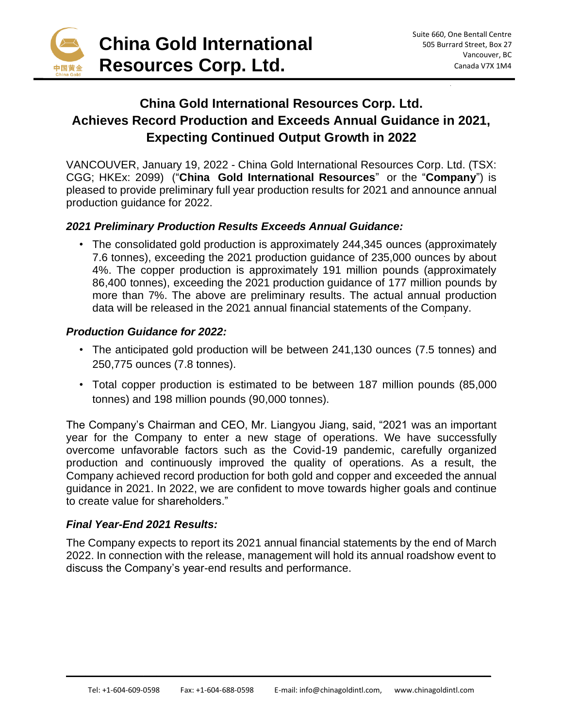

## **China Gold International Resources Corp. Ltd. Achieves Record Production and Exceeds Annual Guidance in 2021, Expecting Continued Output Growth in 2022**

VANCOUVER, January 19, 2022 - China Gold International Resources Corp. Ltd. (TSX: CGG; HKEx: 2099) ("**China Gold International Resources**" or the "**Company**") is pleased to provide preliminary full year production results for 2021 and announce annual production guidance for 2022.

### *2021 Preliminary Production Results Exceeds Annual Guidance:*

• The consolidated gold production is approximately 244,345 ounces (approximately 7.6 tonnes), exceeding the 2021 production guidance of 235,000 ounces by about 4%. The copper production is approximately 191 million pounds (approximately 86,400 tonnes), exceeding the 2021 production guidance of 177 million pounds by more than 7%. The above are preliminary results. The actual annual production data will be released in the 2021 annual financial statements of the Company.

#### *Production Guidance for 2022:*

- The anticipated gold production will be between 241,130 ounces (7.5 tonnes) and 250,775 ounces (7.8 tonnes).
- Total copper production is estimated to be between 187 million pounds (85,000 tonnes) and 198 million pounds (90,000 tonnes).

The Company's Chairman and CEO, Mr. Liangyou Jiang, said, "2021 was an important year for the Company to enter a new stage of operations. We have successfully overcome unfavorable factors such as the Covid-19 pandemic, carefully organized production and continuously improved the quality of operations. As a result, the Company achieved record production for both gold and copper and exceeded the annual guidance in 2021. In 2022, we are confident to move towards higher goals and continue to create value for shareholders."

#### *Final Year-End 2021 Results:*

The Company expects to report its 2021 annual financial statements by the end of March 2022. In connection with the release, management will hold its annual roadshow event to discuss the Company's year-end results and performance.

 $\_$  , and the contribution of the contribution of  $\mathcal{L}_1$  , and the contribution of  $\mathcal{L}_2$  , and  $\mathcal{L}_3$